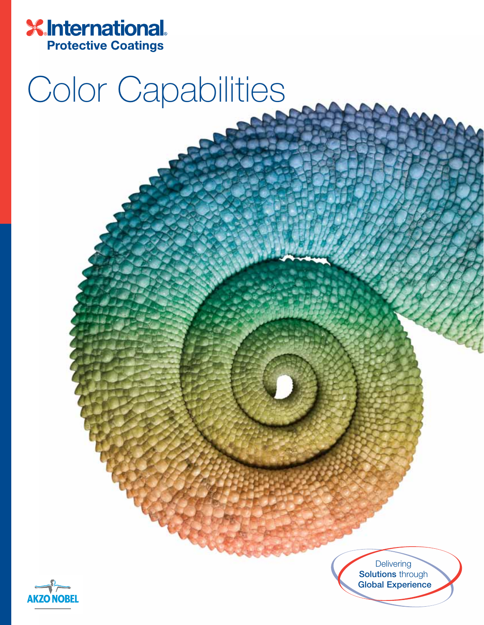

## Color Capabilities



**Delivering Solutions** through **Global Experience**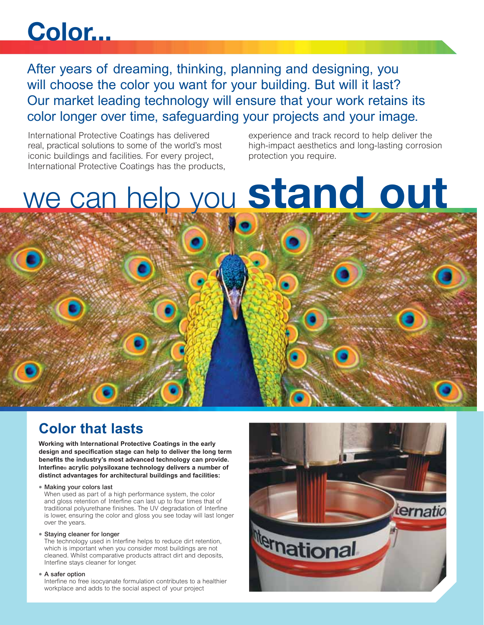## **Color...**

After years of dreaming, thinking, planning and designing, you will choose the color you want for your building. But will it last? Our market leading technology will ensure that your work retains its color longer over time, safeguarding your projects and your image.

International Protective Coatings has delivered real, practical solutions to some of the world's most iconic buildings and facilities. For every project, International Protective Coatings has the products, experience and track record to help deliver the high-impact aesthetics and long-lasting corrosion protection you require.

# we can help you **stand out**

### **Color that lasts**

**Working with International Protective Coatings in the early design and specification stage can help to deliver the long term benefits the industry's most advanced technology can provide. Interfine® acrylic polysiloxane technology delivers a number of distinct advantages for architectural buildings and facilities:**

**• Making your colors last**

When used as part of a high performance system, the color and gloss retention of Interfine can last up to four times that of traditional polyurethane finishes. The UV degradation of Interfine is lower, ensuring the color and gloss you see today will last longer over the years.

#### **• Staying cleaner for longer**

The technology used in Interfine helps to reduce dirt retention, which is important when you consider most buildings are not cleaned. Whilst comparative products attract dirt and deposits, Interfine stays cleaner for longer.

#### **• A safer option**

Interfine no free isocyanate formulation contributes to a healthier workplace and adds to the social aspect of your project

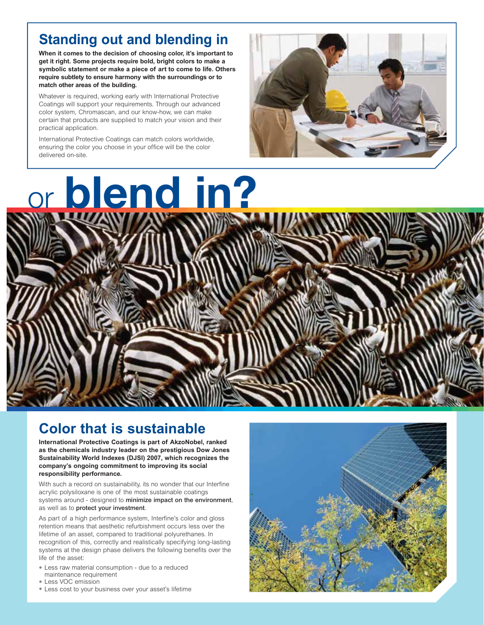### **Standing out and blending in**

**When it comes to the decision of choosing color, it's important to get it right. Some projects require bold, bright colors to make a symbolic statement or make a piece of art to come to life. Others require subtlety to ensure harmony with the surroundings or to match other areas of the building.**

Whatever is required, working early with International Protective Coatings will support your requirements. Through our advanced color system, Chromascan, and our know-how, we can make certain that products are supplied to match your vision and their practical application.

International Protective Coatings can match colors worldwide, ensuring the color you choose in your office will be the color delivered on-site.





### **Color that is sustainable**

**International Protective Coatings is part of AkzoNobel, ranked as the chemicals industry leader on the prestigious Dow Jones Sustainability World Indexes (DJSI) 2007, which recognizes the company's ongoing commitment to improving its social responsibility performance.**

With such a record on sustainability, its no wonder that our Interfine acrylic polysiloxane is one of the most sustainable coatings systems around - designed to **minimize impact on the environment**, as well as to **protect your investment**.

As part of a high performance system, Interfine's color and gloss retention means that aesthetic refurbishment occurs less over the lifetime of an asset, compared to traditional polyurethanes. In recognition of this, correctly and realistically specifying long-lasting systems at the design phase delivers the following benefits over the life of the asset:

- Less raw material consumption due to a reduced maintenance requirement
- Less VOC emission
- Less cost to your business over your asset's lifetime